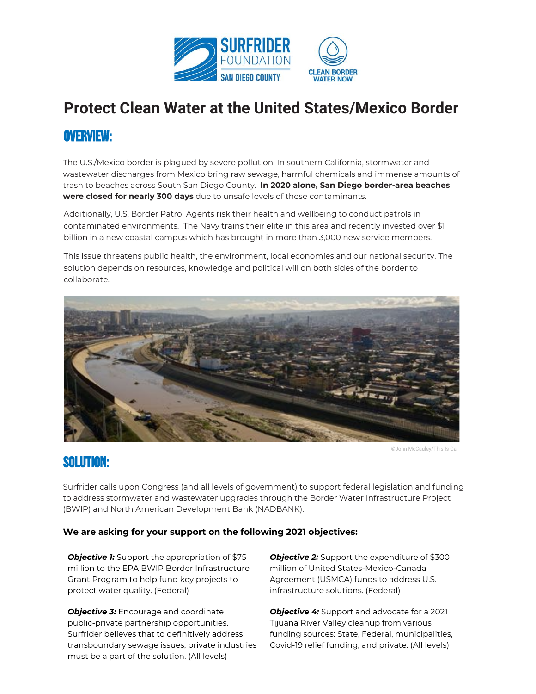

# **Protect Clean Water at the United States/Mexico Border**

# OVERVIEW:

The U.S./Mexico border is plagued by severe pollution. In southern California, stormwater and wastewater discharges from Mexico bring raw sewage, harmful chemicals and immense amounts of trash to beaches across South San Diego County. **In ̈̆̈̆ alone͇ San Diego border͡area beaches** were closed for nearly 300 days due to unsafe levels of these contaminants.

Additionally, U.S. Border Patrol Agents risk their health and wellbeing to conduct patrols in contaminated environments. The Navy trains their elite in this area and recently invested over \$1 billion in a new coastal campus which has brought in more than 3,000 new service members.

This issue threatens public health, the environment, local economies and our national security. The solution depends on resources, knowledge and political will on both sides of the border to collaborate.



@John McCaulev/This Is Ca

## **SOLUTION:**

Surfrider calls upon Congress (and all levels of government) to support federal legislation and funding to address stormwater and wastewater upgrades through the Border Water Infrastructure Project (BWIP) and North American Development Bank (NADBANK).

#### **We** are asking for your support on the following 2021 objectives:

*Objective 1:* Support the appropriation of \$75 million to the EPA BWIP Border Infrastructure Grant Program to help fund key projects to protect water quality. (Federal)

*Objective 3:* Encourage and coordinate public-private partnership opportunities. Surfrider believes that to definitively address transboundary sewage issues, private industries must be a part of the solution. (All levels)

*Objective 2:* Support the expenditure of \$300 million of United States-Mexico-Canada Agreement (USMCA) funds to address U.S. infrastructure solutions. (Federal)

*Objective 4:* Support and advocate for a 2021 Tijuana River Valley cleanup from various funding sources: State, Federal, municipalities, Covid-19 relief funding, and private. (All levels)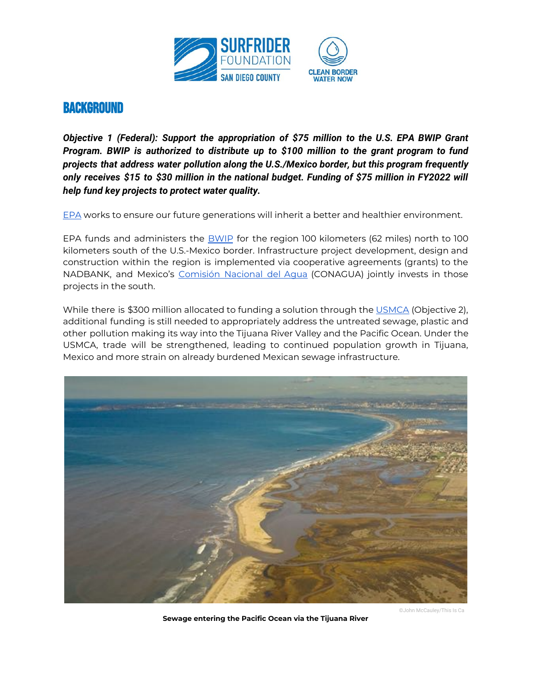

Objective 1 (Federal): Support the appropriation of \$75 million to the U.S. EPA BWIP Grant Program. BWIP is authorized to distribute up to \$100 million to the grant program to fund projects that address water pollution along the U.S./Mexico border, but this program frequently only receives \$15 to \$30 million in the national budget. Funding of \$75 million in FY2022 will help fund key projects to protect water quality.

EPA works to ensure our future generations will inherit a better and healthier environment.

EPA funds and administers the **BWIP** for the region 100 kilometers (62 miles) north to 100 kilometers south of the U.S.-Mexico border. Infrastructure project development, design and construction within the region is implemented via cooperative agreements (grants) to the NADBANK, and Mexico's Comisión Nacional del Aqua (CONAGUA) jointly invests in those projects in the south.

While there is \$300 million allocated to funding a solution through the USMCA (Objective 2), additional funding is still needed to appropriately address the untreated sewage, plastic and other pollution making its way into the Tijuana River Valley and the Pacific Ocean. Under the USMCA, trade will be strengthened, leading to continued population growth in Tijuana, Mexico and more strain on already burdened Mexican sewage infrastructure.



Sewage entering the Pacific Ocean via the Tijuana River

@John McCauley/This Is Ca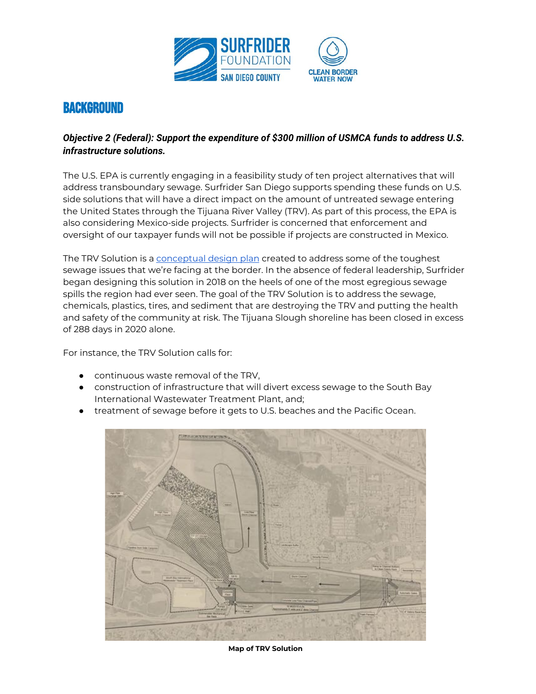

#### *<i>Objective 2 (Federal): Support the expenditure of \$300 million of USMCA funds to address U.S. infrastructure solutions.*

The U.S. EPA is currently engaging in a feasibility study of ten project alternatives that will address transboundary sewage. Surfrider San Diego supports spending these funds on U.S. side solutions that will have a direct impact on the amount of untreated sewage entering the United States through the Tijuana River Valley (TRV). As part of this process, the EPA is also considering Mexico-side projects. Surfrider is concerned that enforcement and oversight of our taxpayer funds will not be possible if projects are constructed in Mexico.

The TRV Solution is a [conceptual](https://sandiego.surfrider.org/trv-solution-december-2019-update/) design plan created to address some of the toughest sewage issues that we're facing at the border. In the absence of federal leadership, Surfrider began designing this solution in 2018 on the heels of one of the most egregious sewage spills the region had ever seen. The goal of the TRV Solution is to address the sewage, chemicals, plastics, tires, and sediment that are destroying the TRV and putting the health and safety of the community at risk. The Tijuana Slough shoreline has been closed in excess of 288 days in 2020 alone.

For instance, the TRV Solution calls for:

- continuous waste removal of the TRV,
- construction of infrastructure that will divert excess sewage to the South Bay International Wastewater Treatment Plant, and;
- treatment of sewage before it gets to U.S. beaches and the Pacific Ocean.



**Map of TRV SolƼƴion**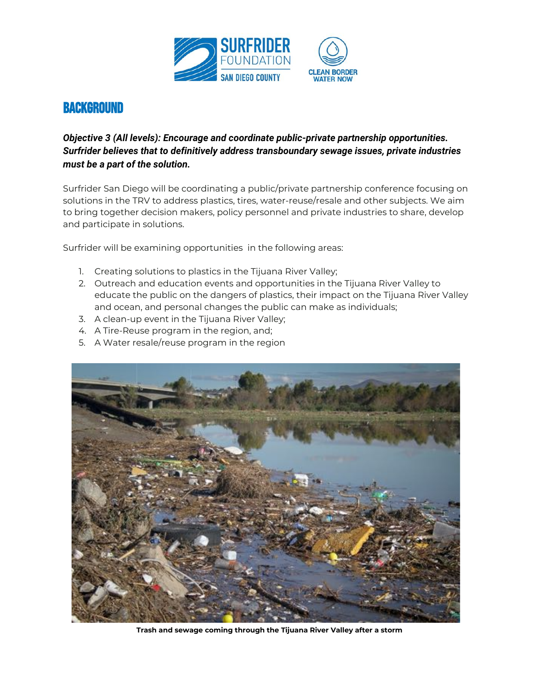

#### Objective 3 (All levels): Encourage and coordinate public-private partnership opportunities. Surfrider believes that to definitively address transboundary sewage issues, private industries must be a part of the solution.

Surfrider San Diego will be coordinating a public/private partnership conference focusing on solutions in the TRV to address plastics, tires, water-reuse/resale and other subjects. We aim to bring together decision makers, policy personnel and private industries to share, develop and participate in solutions.

Surfrider will be examining opportunities in the following areas:

- 1. Creating solutions to plastics in the Tijuana River Valley;
- 2. Outreach and education events and opportunities in the Tijuana River Valley to educate the public on the dangers of plastics, their impact on the Tijuana River Valley and ocean, and personal changes the public can make as individuals;
- 3. A clean-up event in the Tijuana River Valley;
- 4. A Tire-Reuse program in the region, and;
- 5. A Water resale/reuse program in the region



Trash and sewage coming through the Tijuana River Valley after a storm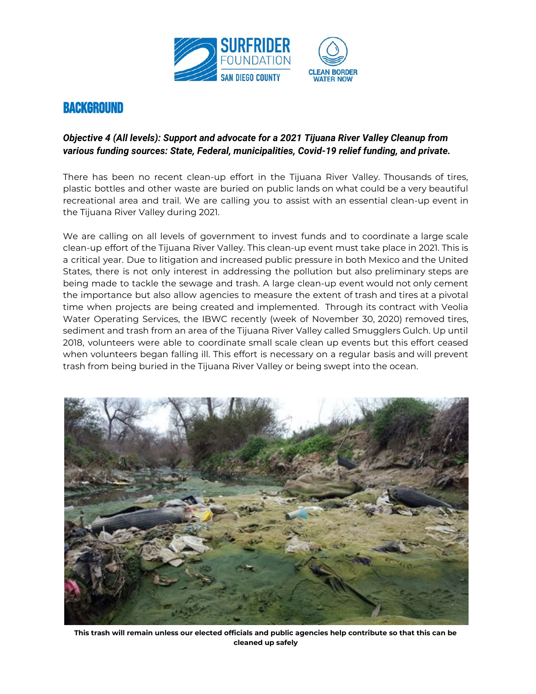

#### *<i>Objective 4 (All levels): Support and advocate for a 2021 Tijuana River Valley Cleanup from ZEVMSYW JYRHMRK WSYVGIW: SXEXI, FIHIVEP, QYRMGMTEPMXMIW, CSZMH-19 VIPMIJ JYRHMRK, ERH TVMZEXI.*

There has been no recent clean-up effort in the Tijuana River Valley. Thousands of tires, plastic bottles and other waste are buried on public lands on what could be a very beautiful recreational area and trail. We are calling you to assist with an essential clean-up event in the Tijuana River Valley during 2021.

We are calling on all levels of government to invest funds and to coordinate a large scale clean-up effort of the Tijuana River Valley. This clean-up event must take place in 2021. This is a critical year. Due to litigation and increased public pressure in both Mexico and the United States, there is not only interest in addressing the pollution but also preliminary steps are being made to tackle the sewage and trash. A large clean-up event would not only cement the importance but also allow agencies to measure the extent of trash and tires at a pivotal time when projects are being created and implemented. Through its contract with Veolia Water Operating Services, the IBWC recently (week of November 30, 2020) removed tires, sediment and trash from an area of the Tijuana River Valley called Smugglers Gulch. Up until 2018, volunteers were able to coordinate small scale clean up events but this effort ceased when volunteers began falling ill. This effort is necessary on a regular basis and will prevent trash from being buried in the Tijuana River Valley or being swept into the ocean.



This trash will remain unless our elected officials and public agencies help contribute so that this can be **cleaned Ƽp safelǛ**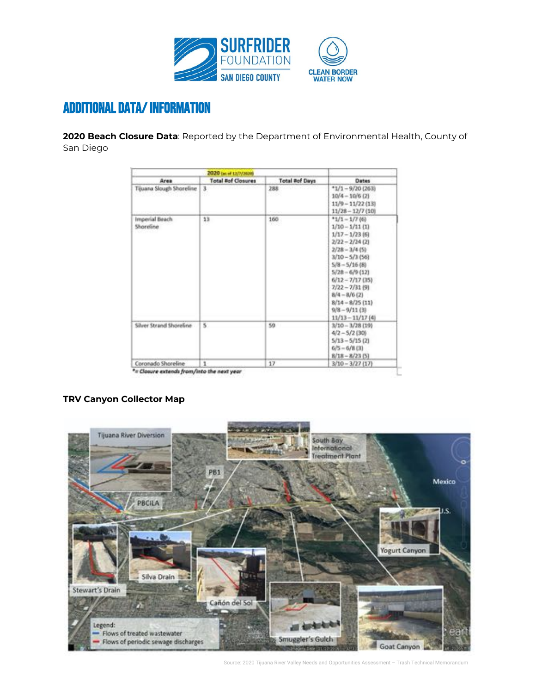

#### **ADDITIONAL DATA/INFORMATION**

2020 Beach Closure Data: Reported by the Department of Environmental Health, County of San Diego

| 2020 (at of 13/7/3030)      |                           |                       |                                                                                                                                                                                                                                                                                                |
|-----------------------------|---------------------------|-----------------------|------------------------------------------------------------------------------------------------------------------------------------------------------------------------------------------------------------------------------------------------------------------------------------------------|
| Area                        | <b>Total #of Closures</b> | <b>Total Rof Days</b> | <b>Dates</b>                                                                                                                                                                                                                                                                                   |
| Tijuana Slough Shoreline    | 3                         | 288                   | $*1/1 - 9/20$ (263)<br>$10/4 - 10/6$ (2)<br>$11/9 - 11/22$ (13)<br>$11/28 - 12/7(10)$                                                                                                                                                                                                          |
| Imperial Beach<br>Shoreline | 13                        | 160<br>roo            | $*1/1 - 1/768$<br>$1/10 - 1/11$ (1)<br>$1/17 - 1/23$ (6)<br>$2/22 - 2/24$ (2)<br>$2/28 - 3/4$ (5)<br>$3/10 - 5/3$ (56)<br>$5/8 - 5/16$ (8)<br>$5/28 - 6/9$ (12)<br>$6/12 - 7/17$ (35)<br>$7/22 - 7/31$ (9)<br>$8/4 - 8/6$ (2)<br>$8/14 - 8/25$ (11)<br>$9/8 - 9/11$ (3)<br>$11/13 - 11/17$ (4) |
| Silver Strand Shoreline     | s                         | 59                    | $3/10 - 3/28$ (1%)<br>$4/2 - 5/2$ (30)<br>$5/13 - 5/15$ (2)<br>$6/5 - 6/8$ (3)<br>$8/18 - 8/23$ (5)                                                                                                                                                                                            |
| Coronado Shoreline          | t.                        | 17                    | $3/10 - 3/27$ (17)                                                                                                                                                                                                                                                                             |

#### **TRV Canyon Collector Map**



Source: 2020 Tijuana River Valley Needs and Opportunities Assessment - Trash Technical Memorandum